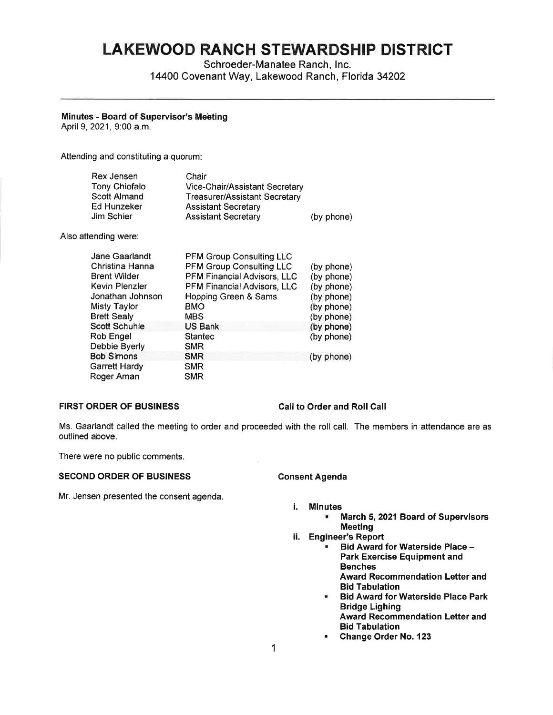# **LAKEWOOD RANCH STEWARDSHIP DISTRICT**

Schroeder-Manatee Ranch, Inc. 14400 Covenant Way, Lakewood Ranch, Florida 34202

# **Minutes** - **Board of Supervisor's Meeting**

April 9, 2021, 9:00 a.m.

Attending and constituting a quorum:

| Rex Jensen<br><b>Tony Chiofalo</b><br>Scott Almand<br>Ed Hunzeker<br>Jim Schier | Chair<br>Vice-Chair/Assistant Secretary<br><b>Treasurer/Assistant Secretary</b><br><b>Assistant Secretary</b><br><b>Assistant Secretary</b> | (by phone)                          |
|---------------------------------------------------------------------------------|---------------------------------------------------------------------------------------------------------------------------------------------|-------------------------------------|
| Also attending were:                                                            |                                                                                                                                             |                                     |
| Jane Gaarlandt<br>Christina Hanna<br>$D - 1$ and $M + 1$                        | <b>PFM Group Consulting LLC</b><br>PFM Group Consulting LLC<br>DEM Floreschi Anti-en-LLO                                                    | (by phone)<br>$(1 - 1 - 1 - 1 - 1)$ |

| <b>Brent Wilder</b>  | PFM Financial Advisors, LLC | (by phone) |
|----------------------|-----------------------------|------------|
| Kevin Plenzler       | PFM Financial Advisors, LLC | (by phone) |
| Jonathan Johnson     | Hopping Green & Sams        | (by phone) |
| Misty Taylor         | <b>BMO</b>                  | (by phone) |
| <b>Brett Sealy</b>   | <b>MBS</b>                  | (by phone) |
| <b>Scott Schuhle</b> | <b>US Bank</b>              | (by phone) |
| Rob Engel            | <b>Stantec</b>              | (by phone) |
| Debbie Byerly        | <b>SMR</b>                  |            |
| <b>Bob Simons</b>    | <b>SMR</b>                  | (by phone) |
| <b>Garrett Hardy</b> | <b>SMR</b>                  |            |
| Roger Aman           | <b>SMR</b>                  |            |
|                      |                             |            |

# **FIRST ORDER OF BUSINESS**

# **Call to Order and Roll Call**

Ms. Gaarlandt called the meeting to order and proceeded with the roll call. The members in attendance are as outlined above.

There were no public comments.

# **SECOND ORDER OF BUSINESS**

# Mr. Jensen presented the consent agenda.

i. **Minutes** 

**Consent Agenda** 

- **March 5, 2021 Board of Supervisors Meeting**
- ii. **Engineer's Report** 
	- **Bid Award for Waterside Place Park Exercise Equipment and Benches Award Recommendation Letter and Bid Tabulation**
	- **Bid Award for Waterside Place Park Bridge Lighing Award Recommendation Letter and Bid Tabulation**
	- **Change Order No. 123**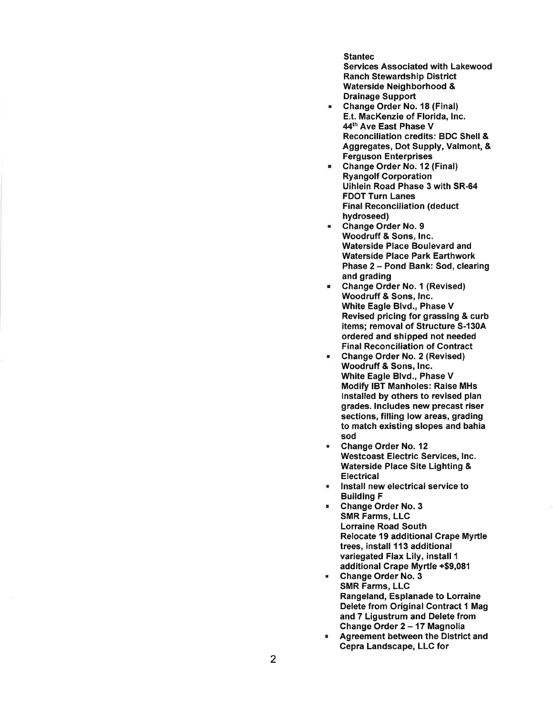Stantec

Services Associated with Lakewood Ranch Stewardship District Waterside Neighborhood & Drainage Support

- Change Order No. 18 (Final) E.t. MacKenzie of Florida, Inc. 44th Ave East Phase V Reconciliation credits: BOC Shell & Aggregates, Dot Supply, Valmont, & Ferguson Enterprises
- Change Order No. 12 (Final) Ryangolf Corporation Uihlein Road Phase 3 with SR-64 FOOT Turn Lanes Final Reconciliation (deduct hydroseed)
- Change Order No. 9 Woodruff & Sons, Inc. Waterside Place Boulevard and Waterside Place Park Earthwork Phase 2 - Pond Bank: Sod, clearing and grading
- Change Order No. 1 (Revised) Woodruff & Sons, Inc. White Eagle Blvd., Phase V Revised pricing for grassing & curb items; removal of Structure S-130A ordered and shipped not needed Final Reconciliation of Contract
- Change Order No. 2 (Revised) Woodruff & Sons, Inc. White Eagle Blvd., Phase V Modify IBT Manholes: Raise MHs installed by others to revised plan grades. Includes new precast riser sections, filling low areas, grading to match existing slopes and bahia sod
- Change Order No. 12 Westcoast Electric Services, Inc. Waterside Place Site Lighting & **Electrical**
- Install new electrical service to Building F
- Change Order No. 3 SMR Farms, LLC Lorraine Road South Relocate 19 additional Crape Myrtle trees, install 113 additional variegated Flax Lily, install 1 additional Crape Myrtle +\$9,081
- Change Order No. 3 SMR Farms, LLC Rangeland, Esplanade to Lorraine Delete from Original Contract 1 Mag and 7 Ligustrum and Delete from Change Order 2 - 17 Magnolia
- Agreement between the District and Cepra Landscape, LLC for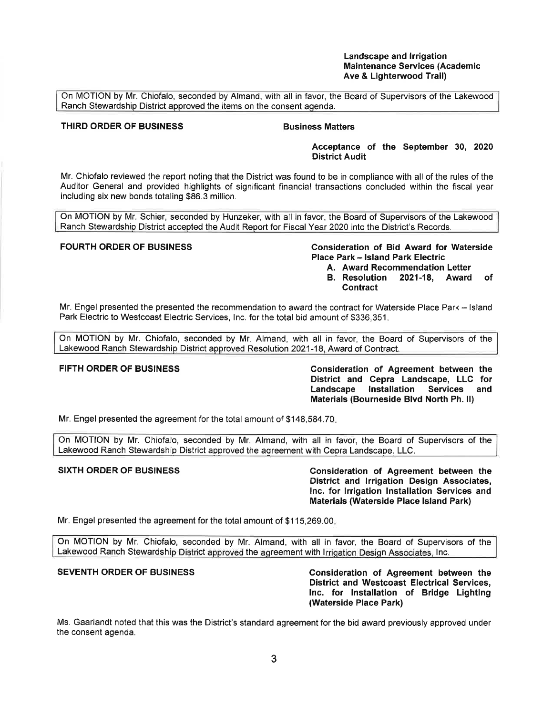### **Landscape and Irrigation Maintenance Services (Academic Ave** & **Lighterwood Trail)**

On MOTION by Mr. Chiofalo, seconded by Almand, with all in favor, the Board of Supervisors of the Lakewood Ranch Stewardship District approved the items on the consent agenda.

# **THIRD ORDER OF BUSINESS CONSUMING BUSINESS Matters**

**Acceptance of the September 30, 2020 District Audit** 

Mr. Chiofalo reviewed the report noting that the District was found to be in compliance with all of the rules of the Auditor General and provided highlights of significant financial transactions concluded within the fiscal year including six new bonds totaling \$86.3 million.

On MOTION by Mr. Schier, seconded by Hunzeker, with all in favor, the Board of Supervisors of the Lakewood Ranch Stewardship District accepted the Audit Report for Fiscal Year 2020 into the District's Records.

# **FOURTH ORDER OF BUSINESS Consideration of Bid Award for Waterside Place Park** - **Island Park Electric**

- **A. Award Recommendation Letter**
- **B. Resolution 2021-18, Award of Contract**

Mr. Engel presented the presented the recommendation to award the contract for Waterside Place Park - Island Park Electric to Westcoast Electric Services, Inc. for the total bid amount of \$336,351.

On MOTION by Mr. Chiofalo, seconded by Mr. Almand, with all in favor, the Board of Supervisors of the Lakewood Ranch Stewardship District approved Resolution 2021-18, Award of Contract.

**FIFTH ORDER OF BUSINESS Consideration of Agreement between the District and Cepra Landscape, LLC for Landscape Installation Services and Materials (Bourneside Blvd North Ph.** II)

Mr. Engel presented the agreement for the total amount of \$[148,584.70](https://148,584.70).

On MOTION by Mr. Chiofalo, seconded by Mr. Almand, with all in favor, the Board of Supervisors of the Lakewood Ranch Stewardship District approved the agreement with Cepra Landscape, LLC.

**SIXTH ORDER OF BUSINESS Consideration of Agreement between the District and Irrigation Design Associates, Inc. for Irrigation Installation Services and Materials (Waterside Place Island Park)** 

Mr. Engel presented the agreement for the total amount of \$[115,269.00](https://115,269.00).

On MOTION by Mr. Chiofalo, seconded by Mr. Almand, with all in favor, the Board of Supervisors of the Lakewood Ranch Stewardship District approved the agreement with Irrigation Design Associates, Inc.

**SEVENTH ORDER OF BUSINESS Consideration of Agreement between the District and Westcoast Electrical Services, Inc. for Installation of Bridge Lighting**  (Waterside Place **Park)** 

Ms. Gaarlandt noted that this was the District's standard agreement for the bid award previously approved under the consent agenda.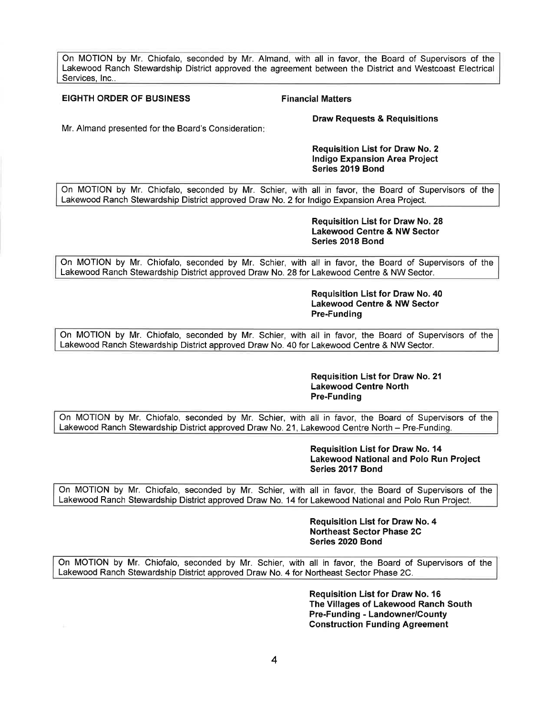On MOTION by Mr. Chiofalo, seconded by Mr. Almand, with all in favor, the Board of Supervisors of the Lakewood Ranch Stewardship District approved the agreement between the District and Westcoast Electrical Services, Inc..

#### **EIGHTH ORDER OF BUSINESS FINANCIAL FINANCIAL Matters**

**Draw Requests** & **Requisitions** 

Mr. Almand presented for the Board's Consideration:

### **Requisition List for Draw No. 2 Indigo Expansion Area Project Series 2019 Bond**

On MOTION by Mr. Chiofalo, seconded by Mr. Schier, with all in favor, the Board of Supervisors of the Lakewood Ranch Stewardship District approved Draw No. 2 for Indigo Expansion Area Project.

### **Requisition List for Draw No. 28 Lakewood Centre** & **NW Sector Series 2018 Bond**

On MOTION by Mr. Chiofalo, seconded by Mr. Schier, with all in favor, the Board of Supervisors of the Lakewood Ranch Stewardship District approved Draw No. 28 for Lakewood Centre & NW Sector.

> **Requisition List for Draw No. 40 Lakewood Centre** & **NW Sector Pre-Funding**

On MOTION by Mr. Chiofalo, seconded by Mr. Schier, with all in favor, the Board of Supervisors of the Lakewood Ranch Stewardship District approved Draw No. 40 for Lakewood Centre & NW Sector.

## **Requisition List for Draw No. 21 Lakewood Centre North Pre-Funding**

On MOTION by Mr. Chiofalo, seconded by Mr. Schier, with all in favor, the Board of Supervisors of the Lakewood Ranch Stewardship District approved Draw No. 21, Lakewood Centre North - Pre-Funding.

> **Requisition List for Draw No. 14 Lakewood National and Polo Run Project Series 2017 Bond**

On MOTION by Mr. Chiofalo, seconded by Mr. Schier, with all in favor, the Board of Supervisors of the Lakewood Ranch Stewardship District approved Draw No. 14 for Lakewood National and Polo Run Project.

> **Requisition List for Draw No. 4 Northeast Sector Phase 2C Series 2020 Bond**

On MOTION by Mr. Chiofalo, seconded by Mr. Schier, with all in favor, the Board of Supervisors of the Lakewood Ranch Stewardship District approved Draw No. 4 for Northeast Sector Phase 2C.

> **Requisition List for Draw No. 16 The Villages of Lakewood Ranch South Pre-Funding** - **Landowner/County Construction Funding Agreement**